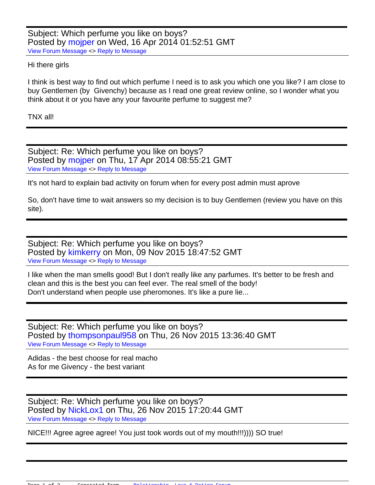Subject: Which perfume you like on boys? Posted by [mojper](https://forum.livedating.me/index.php?t=usrinfo&id=2785) on Wed, 16 Apr 2014 01:52:51 GMT [View Forum Message](https://forum.livedating.me/index.php?t=rview&th=5779&goto=8548#msg_8548) <> [Reply to Message](https://forum.livedating.me/index.php?t=post&reply_to=8548)

## Hi there girls

I think is best way to find out which perfume I need is to ask you which one you like? I am close to buy Gentlemen (by Givenchy) because as I read one great review online, so I wonder what you think about it or you have any your favourite perfume to suggest me?

TNX all!

Subject: Re: Which perfume you like on boys? Posted by [mojper](https://forum.livedating.me/index.php?t=usrinfo&id=2785) on Thu, 17 Apr 2014 08:55:21 GMT [View Forum Message](https://forum.livedating.me/index.php?t=rview&th=5779&goto=8552#msg_8552) <> [Reply to Message](https://forum.livedating.me/index.php?t=post&reply_to=8552)

It's not hard to explain bad activity on forum when for every post admin must aprove

So, don't have time to wait answers so my decision is to buy Gentlemen (review you have on this site).

Subject: Re: Which perfume you like on boys? Posted by [kimkerry](https://forum.livedating.me/index.php?t=usrinfo&id=3117) on Mon, 09 Nov 2015 18:47:52 GMT [View Forum Message](https://forum.livedating.me/index.php?t=rview&th=5779&goto=9249#msg_9249) <> [Reply to Message](https://forum.livedating.me/index.php?t=post&reply_to=9249)

I like when the man smells good! But I don't really like any parfumes. It's better to be fresh and clean and this is the best you can feel ever. The real smell of the body! Don't understand when people use pheromones. It's like a pure lie...

Subject: Re: Which perfume you like on boys? Posted by thompsonpaul 958 on Thu, 26 Nov 2015 13:36:40 GMT [View Forum Message](https://forum.livedating.me/index.php?t=rview&th=5779&goto=9298#msg_9298) <> [Reply to Message](https://forum.livedating.me/index.php?t=post&reply_to=9298)

Adidas - the best choose for real macho As for me Givency - the best variant

Subject: Re: Which perfume you like on boys? Posted by [NickLox1](https://forum.livedating.me/index.php?t=usrinfo&id=3116) on Thu, 26 Nov 2015 17:20:44 GMT [View Forum Message](https://forum.livedating.me/index.php?t=rview&th=5779&goto=9309#msg_9309) <> [Reply to Message](https://forum.livedating.me/index.php?t=post&reply_to=9309)

NICE!!! Agree agree agree! You just took words out of my mouth!!!)))) SO true!